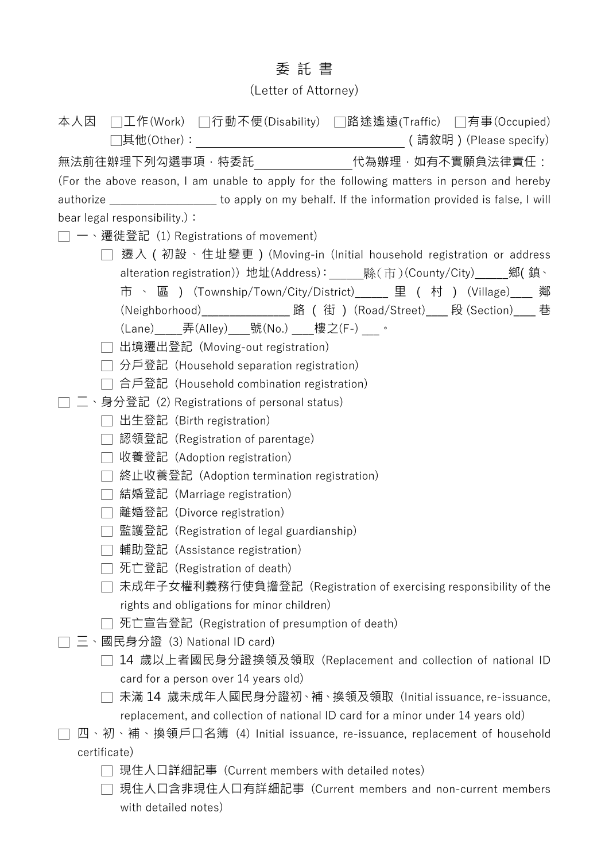## 委 託 書

## (Letter of Attorney)

| 本人因 □工作(Work) □行動不便(Disability) □路途遙遠(Traffic) □有事(Occupied)                                                                                 |
|----------------------------------------------------------------------------------------------------------------------------------------------|
| 無法前往辦理下列勾選事項,特委託_______________代為辦理,如有不實願負法律責任:                                                                                              |
| (For the above reason, I am unable to apply for the following matters in person and hereby                                                   |
| authorize _______________________ to apply on my behalf. If the information provided is false, I will                                        |
| bear legal responsibility.) :                                                                                                                |
| 一、遷徙登記 (1) Registrations of movement)                                                                                                        |
| □ 遷入 ( 初設、住址變更 ) (Moving-in (Initial household registration or address                                                                       |
| alteration registration)) 地址(Address): ______縣(市)(County/City)______鄉(鎮、                                                                     |
| 市 、 區 )(Township/Town/City/District)_____ 里 ( 村 )(Village)___ 鄰                                                                              |
| (Neighborhood)__________________路(街) (Road/Street)____段(Section)____巷                                                                        |
| (Lane)______弄(Alley)_____號(No.) ____樓之(F-)  。                                                                                                |
| 出境遷出登記(Moving-out registration)<br>$\Box$                                                                                                    |
| 分戶登記 (Household separation registration)                                                                                                     |
| 合戶登記 (Household combination registration)                                                                                                    |
| 二、身分登記 (2) Registrations of personal status)                                                                                                 |
| 出生登記 (Birth registration)                                                                                                                    |
| 認領登記 (Registration of parentage)                                                                                                             |
| 收養登記 (Adoption registration)                                                                                                                 |
| 終止收養登記 (Adoption termination registration)                                                                                                   |
| 結婚登記 (Marriage registration)                                                                                                                 |
| 離婚登記 (Divorce registration)                                                                                                                  |
| 監護登記 (Registration of legal guardianship)                                                                                                    |
| 輔助登記(Assistance registration)                                                                                                                |
| 死亡登記 (Registration of death)                                                                                                                 |
| 未成年子女權利義務行使負擔登記(Registration of exercising responsibility of the                                                                             |
| rights and obligations for minor children)                                                                                                   |
| 死亡宣告登記 (Registration of presumption of death)                                                                                                |
| 三、國民身分證 (3) National ID card)                                                                                                                |
| 14 歲以上者國民身分證換領及領取(Replacement and collection of national ID                                                                                  |
| card for a person over 14 years old)                                                                                                         |
| 未滿 14 歲未成年人國民身分證初、補、換領及領取 (Initial issuance, re-issuance,<br>replacement, and collection of national ID card for a minor under 14 years old) |
| 四、初、補、換領戶口名簿 (4) Initial issuance, re-issuance, replacement of household                                                                     |
| certificate)                                                                                                                                 |
| 現住人口詳細記事(Current members with detailed notes)                                                                                                |
| 現住人口含非現住人口有詳細記事(Current members and non-current members                                                                                      |
| with detailed notes)                                                                                                                         |
|                                                                                                                                              |